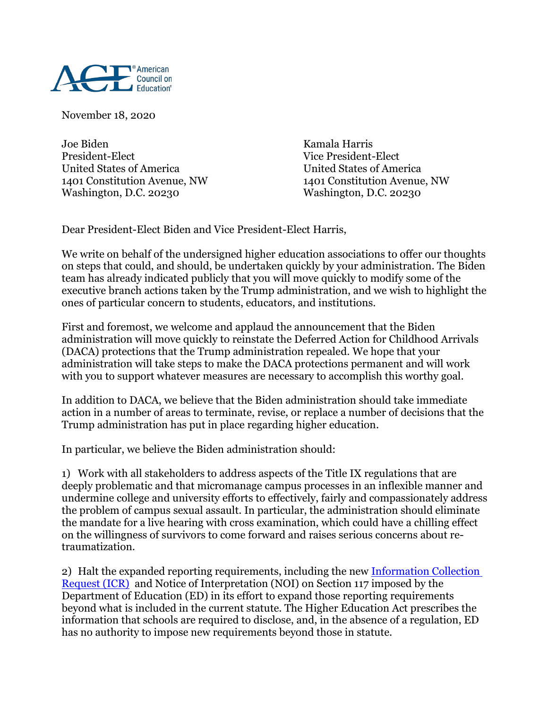

November 18, 2020

Joe Biden Kamala Harris President-Elect Vice President-Elect United States of America United States of America Washington, D.C. 20230 Washington, D.C. 20230

1401 Constitution Avenue, NW 1401 Constitution Avenue, NW

Dear President-Elect Biden and Vice President-Elect Harris,

We write on behalf of the undersigned higher education associations to offer our thoughts on steps that could, and should, be undertaken quickly by your administration. The Biden team has already indicated publicly that you will move quickly to modify some of the executive branch actions taken by the Trump administration, and we wish to highlight the ones of particular concern to students, educators, and institutions.

First and foremost, we welcome and applaud the announcement that the Biden administration will move quickly to reinstate the Deferred Action for Childhood Arrivals (DACA) protections that the Trump administration repealed. We hope that your administration will take steps to make the DACA protections permanent and will work with you to support whatever measures are necessary to accomplish this worthy goal.

In addition to DACA, we believe that the Biden administration should take immediate action in a number of areas to terminate, revise, or replace a number of decisions that the Trump administration has put in place regarding higher education.

In particular, we believe the Biden administration should:

1) Work with all stakeholders to address aspects of the Title IX regulations that are deeply problematic and that micromanage campus processes in an inflexible manner and undermine college and university efforts to effectively, fairly and compassionately address the problem of campus sexual assault. In particular, the administration should eliminate the mandate for a live hearing with cross examination, which could have a chilling effect on the willingness of survivors to come forward and raises serious concerns about retraumatization.

2) Halt the expanded reporting requirements, including the new [Information Collection](https://www.ed.gov/news/press-releases/secretary-devos-unveils-enhanced-online-portal-higher-education-institutions-report-foreign-gifts-and-contracts)  [Request \(ICR\)](https://www.ed.gov/news/press-releases/secretary-devos-unveils-enhanced-online-portal-higher-education-institutions-report-foreign-gifts-and-contracts) and Notice of Interpretation (NOI) on Section 117 imposed by the Department of Education (ED) in its effort to expand those reporting requirements beyond what is included in the current statute. The Higher Education Act prescribes the information that schools are required to disclose, and, in the absence of a regulation, ED has no authority to impose new requirements beyond those in statute.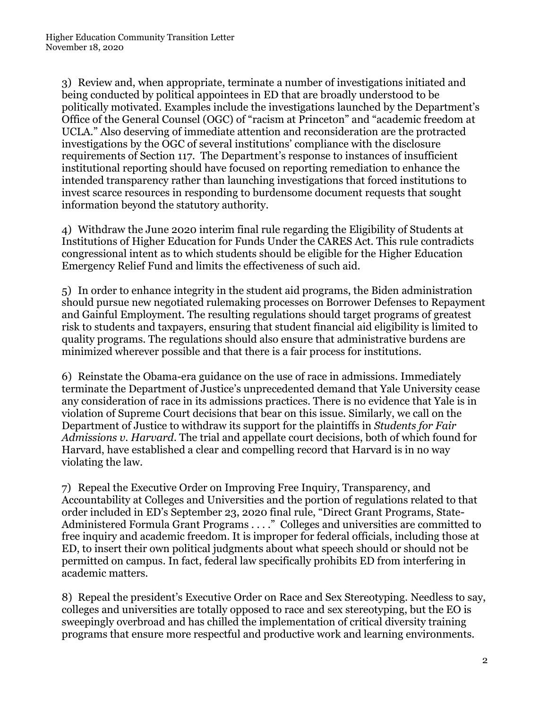3) Review and, when appropriate, terminate a number of investigations initiated and being conducted by political appointees in ED that are broadly understood to be politically motivated. Examples include the investigations launched by the Department's Office of the General Counsel (OGC) of "racism at Princeton" and "academic freedom at UCLA." Also deserving of immediate attention and reconsideration are the protracted investigations by the OGC of several institutions' compliance with the disclosure requirements of Section 117. The Department's response to instances of insufficient institutional reporting should have focused on reporting remediation to enhance the intended transparency rather than launching investigations that forced institutions to invest scarce resources in responding to burdensome document requests that sought information beyond the statutory authority.

4) Withdraw the June 2020 interim final rule regarding the Eligibility of Students at Institutions of Higher Education for Funds Under the CARES Act. This rule contradicts congressional intent as to which students should be eligible for the Higher Education Emergency Relief Fund and limits the effectiveness of such aid.

5) In order to enhance integrity in the student aid programs, the Biden administration should pursue new negotiated rulemaking processes on Borrower Defenses to Repayment and Gainful Employment. The resulting regulations should target programs of greatest risk to students and taxpayers, ensuring that student financial aid eligibility is limited to quality programs. The regulations should also ensure that administrative burdens are minimized wherever possible and that there is a fair process for institutions.

6) Reinstate the Obama-era guidance on the use of race in admissions. Immediately terminate the Department of Justice's unprecedented demand that Yale University cease any consideration of race in its admissions practices. There is no evidence that Yale is in violation of Supreme Court decisions that bear on this issue. Similarly, we call on the Department of Justice to withdraw its support for the plaintiffs in *Students for Fair Admissions v. Harvard*. The trial and appellate court decisions, both of which found for Harvard, have established a clear and compelling record that Harvard is in no way violating the law.

7) Repeal the Executive Order on Improving Free Inquiry, Transparency, and Accountability at Colleges and Universities and the portion of regulations related to that order included in ED's September 23, 2020 final rule, "Direct Grant Programs, State-Administered Formula Grant Programs . . . ." Colleges and universities are committed to free inquiry and academic freedom. It is improper for federal officials, including those at ED, to insert their own political judgments about what speech should or should not be permitted on campus. In fact, federal law specifically prohibits ED from interfering in academic matters.

8) Repeal the president's Executive Order on Race and Sex Stereotyping. Needless to say, colleges and universities are totally opposed to race and sex stereotyping, but the EO is sweepingly overbroad and has chilled the implementation of critical diversity training programs that ensure more respectful and productive work and learning environments.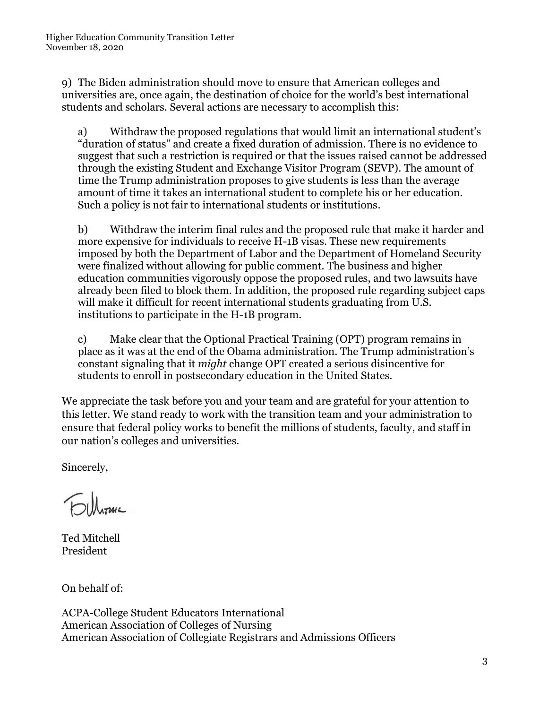9) The Biden administration should move to ensure that American colleges and universities are, once again, the destination of choice for the world's best international students and scholars. Several actions are necessary to accomplish this:

a) Withdraw the proposed regulations that would limit an international student's "duration of status" and create a fixed duration of admission. There is no evidence to suggest that such a restriction is required or that the issues raised cannot be addressed through the existing Student and Exchange Visitor Program (SEVP). The amount of time the Trump administration proposes to give students is less than the average amount of time it takes an international student to complete his or her education. Such a policy is not fair to international students or institutions.

b) Withdraw the interim final rules and the proposed rule that make it harder and more expensive for individuals to receive H-1B visas. These new requirements imposed by both the Department of Labor and the Department of Homeland Security were finalized without allowing for public comment. The business and higher education communities vigorously oppose the proposed rules, and two lawsuits have already been filed to block them. In addition, the proposed rule regarding subject caps will make it difficult for recent international students graduating from U.S. institutions to participate in the H-1B program.

c) Make clear that the Optional Practical Training (OPT) program remains in place as it was at the end of the Obama administration. The Trump administration's constant signaling that it *might* change OPT created a serious disincentive for students to enroll in postsecondary education in the United States.

We appreciate the task before you and your team and are grateful for your attention to this letter. We stand ready to work with the transition team and your administration to ensure that federal policy works to benefit the millions of students, faculty, and staff in our nation's colleges and universities.

Sincerely,

**Folloma** 

Ted Mitchell President

On behalf of:

ACPA-College Student Educators International American Association of Colleges of Nursing American Association of Collegiate Registrars and Admissions Officers